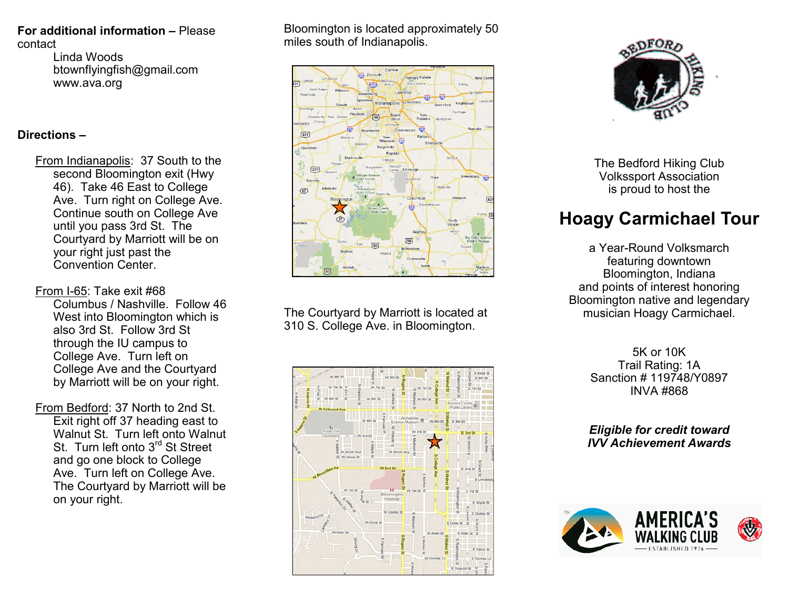### **For additional information –** Please contact

Linda Woods btownflyingfish@gmail.com www.ava.org

## **Directions –**

- From Indianapolis: 37 South to the second Bloomington exit (Hwy 46). Take 46 East to College Ave. Turn right on College Ave. Continue south on College Ave until you pass 3rd St. The Courtyard by Marriott will be on your right just past the Convention Center.
- From I-65: Take exit #68 Columbus / Nashville. Follow 46
	- West into Bloomington which is also 3rd St. Follow 3rd St through the IU campus to College Ave. Turn left on College Ave and the Courtyard by Marriott will be on your right.
- From Bedford: 37 North to 2nd St. Exit right off 37 heading east to Walnut St. Turn left onto Walnut St. Turn left onto 3<sup>rd</sup> St Street and go one block to College Ave. Turn left on College Ave. The Courtyard by Marriott will be on your right.

Bloomington is located approximately 50 miles south of Indianapolis.



The Courtyard by Marriott is located at 310 S. College Ave. in Bloomington.





The Bedford Hiking Club Volkssport Association is proud to host the

# **Hoagy Carmichael Tour**

a Year-Round Volksmarch featuring downtown Bloomington, Indiana and points of interest honoring Bloomington native and legendary musician Hoagy Carmichael.

> 5K or 10K Trail Rating: 1A Sanction # 119748/Y0897 INVA #868

*Eligible for credit toward IVV Achievement Awards*